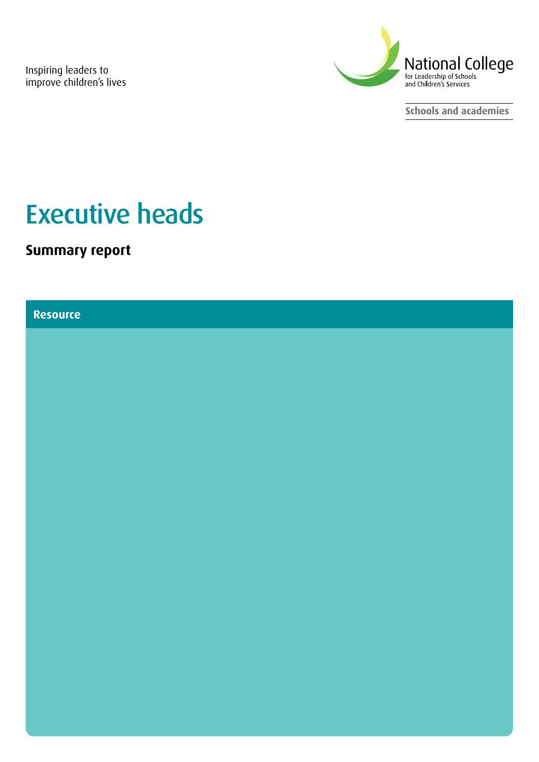Inspiring leaders to improve children's lives



**Schools and academies**

## Executive heads

**Summary report**

## **Resource**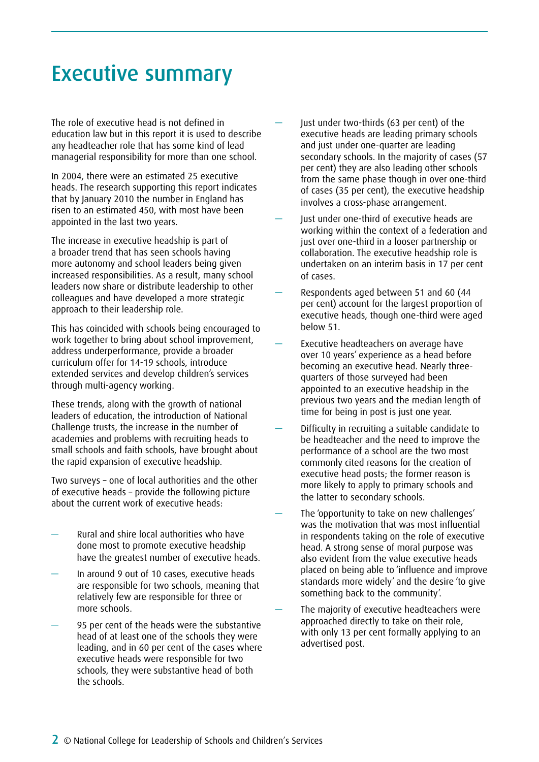## Executive summary

The role of executive head is not defined in education law but in this report it is used to describe any headteacher role that has some kind of lead managerial responsibility for more than one school.

In 2004, there were an estimated 25 executive heads. The research supporting this report indicates that by January 2010 the number in England has risen to an estimated 450, with most have been appointed in the last two years.

The increase in executive headship is part of a broader trend that has seen schools having more autonomy and school leaders being given increased responsibilities. As a result, many school leaders now share or distribute leadership to other colleagues and have developed a more strategic approach to their leadership role.

This has coincided with schools being encouraged to work together to bring about school improvement, address underperformance, provide a broader curriculum offer for 14-19 schools, introduce extended services and develop children's services through multi-agency working.

These trends, along with the growth of national leaders of education, the introduction of National Challenge trusts, the increase in the number of academies and problems with recruiting heads to small schools and faith schools, have brought about the rapid expansion of executive headship.

Two surveys – one of local authorities and the other of executive heads – provide the following picture about the current work of executive heads:

- Rural and shire local authorities who have done most to promote executive headship have the greatest number of executive heads.
- In around 9 out of 10 cases, executive heads are responsible for two schools, meaning that relatively few are responsible for three or more schools.
- 95 per cent of the heads were the substantive head of at least one of the schools they were leading, and in 60 per cent of the cases where executive heads were responsible for two schools, they were substantive head of both the schools.
- Just under two-thirds (63 per cent) of the executive heads are leading primary schools and just under one-quarter are leading secondary schools. In the majority of cases (57 per cent) they are also leading other schools from the same phase though in over one-third of cases (35 per cent), the executive headship involves a cross-phase arrangement.
- Just under one-third of executive heads are working within the context of a federation and just over one-third in a looser partnership or collaboration. The executive headship role is undertaken on an interim basis in 17 per cent of cases.
- Respondents aged between 51 and 60 (44 per cent) account for the largest proportion of executive heads, though one-third were aged below 51.
- Executive headteachers on average have over 10 years' experience as a head before becoming an executive head. Nearly threequarters of those surveyed had been appointed to an executive headship in the previous two years and the median length of time for being in post is just one year.
- Difficulty in recruiting a suitable candidate to be headteacher and the need to improve the performance of a school are the two most commonly cited reasons for the creation of executive head posts; the former reason is more likely to apply to primary schools and the latter to secondary schools.
- The 'opportunity to take on new challenges' was the motivation that was most influential in respondents taking on the role of executive head. A strong sense of moral purpose was also evident from the value executive heads placed on being able to 'influence and improve standards more widely' and the desire 'to give something back to the community'.
- The majority of executive headteachers were approached directly to take on their role, with only 13 per cent formally applying to an advertised post.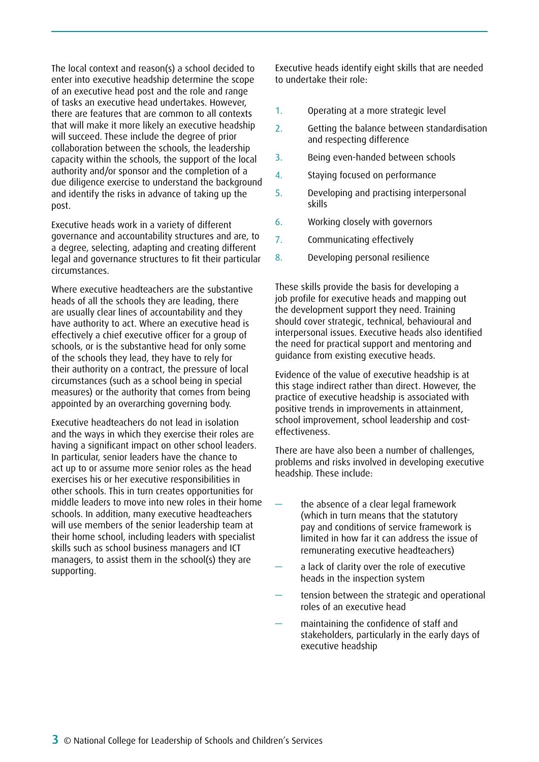The local context and reason(s) a school decided to enter into executive headship determine the scope of an executive head post and the role and range of tasks an executive head undertakes. However, there are features that are common to all contexts that will make it more likely an executive headship will succeed. These include the degree of prior collaboration between the schools, the leadership capacity within the schools, the support of the local authority and/or sponsor and the completion of a due diligence exercise to understand the background and identify the risks in advance of taking up the post.

Executive heads work in a variety of different governance and accountability structures and are, to a degree, selecting, adapting and creating different legal and governance structures to fit their particular circumstances.

Where executive headteachers are the substantive heads of all the schools they are leading, there are usually clear lines of accountability and they have authority to act. Where an executive head is effectively a chief executive officer for a group of schools, or is the substantive head for only some of the schools they lead, they have to rely for their authority on a contract, the pressure of local circumstances (such as a school being in special measures) or the authority that comes from being appointed by an overarching governing body.

Executive headteachers do not lead in isolation and the ways in which they exercise their roles are having a significant impact on other school leaders. In particular, senior leaders have the chance to act up to or assume more senior roles as the head exercises his or her executive responsibilities in other schools. This in turn creates opportunities for middle leaders to move into new roles in their home schools. In addition, many executive headteachers will use members of the senior leadership team at their home school, including leaders with specialist skills such as school business managers and ICT managers, to assist them in the school(s) they are supporting.

Executive heads identify eight skills that are needed to undertake their role:

- 1. Operating at a more strategic level
- 2. Getting the balance between standardisation and respecting difference
- 3. Being even-handed between schools
- 4. Staying focused on performance
- 5. Developing and practising interpersonal skills
- 6. Working closely with governors
- 7. Communicating effectively
- 8. Developing personal resilience

These skills provide the basis for developing a job profile for executive heads and mapping out the development support they need. Training should cover strategic, technical, behavioural and interpersonal issues. Executive heads also identified the need for practical support and mentoring and guidance from existing executive heads.

Evidence of the value of executive headship is at this stage indirect rather than direct. However, the practice of executive headship is associated with positive trends in improvements in attainment, school improvement, school leadership and costeffectiveness.

There are have also been a number of challenges, problems and risks involved in developing executive headship. These include:

- the absence of a clear legal framework (which in turn means that the statutory pay and conditions of service framework is limited in how far it can address the issue of remunerating executive headteachers)
- a lack of clarity over the role of executive heads in the inspection system
- tension between the strategic and operational roles of an executive head
- maintaining the confidence of staff and stakeholders, particularly in the early days of executive headship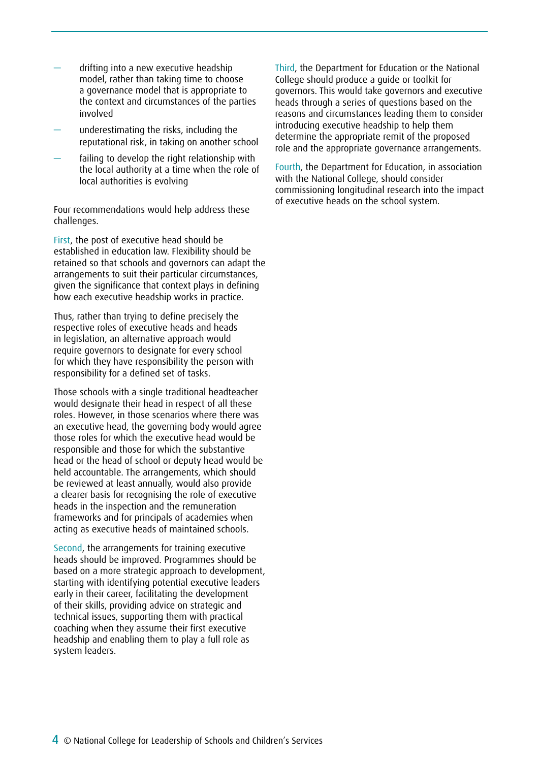- drifting into a new executive headship model, rather than taking time to choose a governance model that is appropriate to the context and circumstances of the parties involved
- underestimating the risks, including the reputational risk, in taking on another school
- failing to develop the right relationship with the local authority at a time when the role of local authorities is evolving

Four recommendations would help address these challenges.

First, the post of executive head should be established in education law. Flexibility should be retained so that schools and governors can adapt the arrangements to suit their particular circumstances, given the significance that context plays in defining how each executive headship works in practice.

Thus, rather than trying to define precisely the respective roles of executive heads and heads in legislation, an alternative approach would require governors to designate for every school for which they have responsibility the person with responsibility for a defined set of tasks.

Those schools with a single traditional headteacher would designate their head in respect of all these roles. However, in those scenarios where there was an executive head, the governing body would agree those roles for which the executive head would be responsible and those for which the substantive head or the head of school or deputy head would be held accountable. The arrangements, which should be reviewed at least annually, would also provide a clearer basis for recognising the role of executive heads in the inspection and the remuneration frameworks and for principals of academies when acting as executive heads of maintained schools.

Second, the arrangements for training executive heads should be improved. Programmes should be based on a more strategic approach to development, starting with identifying potential executive leaders early in their career, facilitating the development of their skills, providing advice on strategic and technical issues, supporting them with practical coaching when they assume their first executive headship and enabling them to play a full role as system leaders.

Third, the Department for Education or the National College should produce a guide or toolkit for governors. This would take governors and executive heads through a series of questions based on the reasons and circumstances leading them to consider introducing executive headship to help them determine the appropriate remit of the proposed role and the appropriate governance arrangements.

Fourth, the Department for Education, in association with the National College, should consider commissioning longitudinal research into the impact of executive heads on the school system.